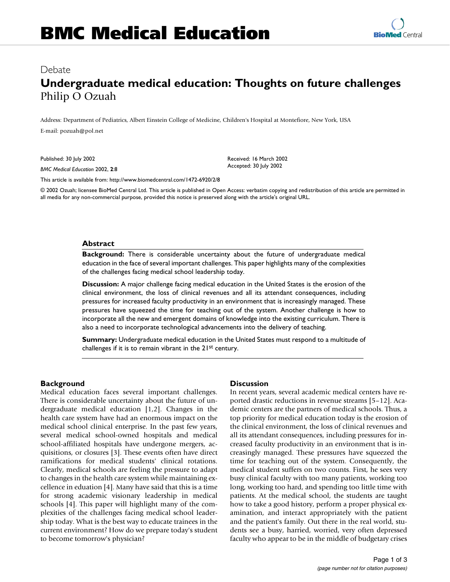# Bedate Education 2002, 2 x Debate

# **Undergraduate medical education: Thoughts on future challenges** Philip O Ozuah

Address: Department of Pediatrics, Albert Einstein College of Medicine, Children's Hospital at Montefiore, New York, USA E-mail: pozuah@pol.net

Published: 30 July 2002

*BMC Medical Education* 2002, **2**:8

Received: 16 March 2002 Accepted: 30 July 2002

[This article is available from: http://www.biomedcentral.com/1472-6920/2/8](http://www.biomedcentral.com/1472-6920/2/8)

© 2002 Ozuah; licensee BioMed Central Ltd. This article is published in Open Access: verbatim copying and redistribution of this article are permitted in all media for any non-commercial purpose, provided this notice is preserved along with the article's original URL.

#### **Abstract**

**Background:** There is considerable uncertainty about the future of undergraduate medical education in the face of several important challenges. This paper highlights many of the complexities of the challenges facing medical school leadership today.

**Discussion:** A major challenge facing medical education in the United States is the erosion of the clinical environment, the loss of clinical revenues and all its attendant consequences, including pressures for increased faculty productivity in an environment that is increasingly managed. These pressures have squeezed the time for teaching out of the system. Another challenge is how to incorporate all the new and emergent domains of knowledge into the existing curriculum. There is also a need to incorporate technological advancements into the delivery of teaching.

**Summary:** Undergraduate medical education in the United States must respond to a multitude of challenges if it is to remain vibrant in the 21st century.

# **Background**

Medical education faces several important challenges. There is considerable uncertainty about the future of undergraduate medical education [1,2]. Changes in the health care system have had an enormous impact on the medical school clinical enterprise. In the past few years, several medical school-owned hospitals and medical school-affiliated hospitals have undergone mergers, acquisitions, or closures [3]. These events often have direct ramifications for medical students' clinical rotations. Clearly, medical schools are feeling the pressure to adapt to changes in the health care system while maintaining excellence in eduation [4]. Many have said that this is a time for strong academic visionary leadership in medical schools [4]. This paper will highlight many of the complexities of the challenges facing medical school leadership today. What is the best way to educate trainees in the current environment? How do we prepare today's student to become tomorrow's physician?

#### **Discussion**

In recent years, several academic medical centers have reported drastic reductions in revenue streams [5–12]. Academic centers are the partners of medical schools. Thus, a top priority for medical education today is the erosion of the clinical environment, the loss of clinical revenues and all its attendant consequences, including pressures for increased faculty productivity in an environment that is increasingly managed. These pressures have squeezed the time for teaching out of the system. Consequently, the medical student suffers on two counts. First, he sees very busy clinical faculty with too many patients, working too long, working too hard, and spending too little time with patients. At the medical school, the students are taught how to take a good history, perform a proper physical examination, and interact appropriately with the patient and the patient's family. Out there in the real world, students see a busy, harried, worried, very often depressed faculty who appear to be in the middle of budgetary crises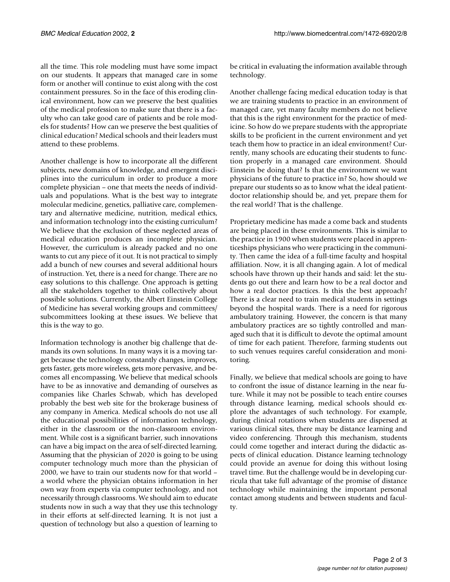all the time. This role modeling must have some impact on our students. It appears that managed care in some form or another will continue to exist along with the cost containment pressures. So in the face of this eroding clinical environment, how can we preserve the best qualities of the medical profession to make sure that there is a faculty who can take good care of patients and be role models for students? How can we preserve the best qualities of clinical education? Medical schools and their leaders must attend to these problems.

Another challenge is how to incorporate all the different subjects, new domains of knowledge, and emergent disciplines into the curriculum in order to produce a more complete physician – one that meets the needs of individuals and populations. What is the best way to integrate molecular medicine, genetics, palliative care, complementary and alternative medicine, nutrition, medical ethics, and information technology into the existing curriculum? We believe that the exclusion of these neglected areas of medical education produces an incomplete physician. However, the curriculum is already packed and no one wants to cut any piece of it out. It is not practical to simply add a bunch of new courses and several additional hours of instruction. Yet, there is a need for change. There are no easy solutions to this challenge. One approach is getting all the stakeholders together to think collectively about possible solutions. Currently, the Albert Einstein College of Medicine has several working groups and committees/ subcommittees looking at these issues. We believe that this is the way to go.

Information technology is another big challenge that demands its own solutions. In many ways it is a moving target because the technology constantly changes, improves, gets faster, gets more wireless, gets more pervasive, and becomes all encompassing. We believe that medical schools have to be as innovative and demanding of ourselves as companies like Charles Schwab, which has developed probably the best web site for the brokerage business of any company in America. Medical schools do not use all the educational possibilities of information technology, either in the classroom or the non-classroom environment. While cost is a significant barrier, such innovations can have a big impact on the area of self-directed learning. Assuming that the physician of 2020 is going to be using computer technology much more than the physician of 2000, we have to train our students now for that world – a world where the physician obtains information in her own way from experts via computer technology, and not necessarily through classrooms. We should aim to educate students now in such a way that they use this technology in their efforts at self-directed learning. It is not just a question of technology but also a question of learning to be critical in evaluating the information available through technology.

Another challenge facing medical education today is that we are training students to practice in an environment of managed care, yet many faculty members do not believe that this is the right environment for the practice of medicine. So how do we prepare students with the appropriate skills to be proficient in the current environment and yet teach them how to practice in an ideal environment? Currently, many schools are educating their students to function properly in a managed care environment. Should Einstein be doing that? Is that the environment we want physicians of the future to practice in? So, how should we prepare our students so as to know what the ideal patientdoctor relationship should be, and yet, prepare them for the real world? That is the challenge.

Proprietary medicine has made a come back and students are being placed in these environments. This is similar to the practice in 1900 when students were placed in apprenticeships physicians who were practicing in the community. Then came the idea of a full-time faculty and hospital affiliation. Now, it is all changing again. A lot of medical schools have thrown up their hands and said: let the students go out there and learn how to be a real doctor and how a real doctor practices. Is this the best approach? There is a clear need to train medical students in settings beyond the hospital wards. There is a need for rigorous ambulatory training. However, the concern is that many ambulatory practices are so tightly controlled and managed such that it is difficult to devote the optimal amount of time for each patient. Therefore, farming students out to such venues requires careful consideration and monitoring.

Finally, we believe that medical schools are going to have to confront the issue of distance learning in the near future. While it may not be possible to teach entire courses through distance learning, medical schools should explore the advantages of such technology. For example, during clinical rotations when students are dispersed at various clinical sites, there may be distance learning and video conferencing. Through this mechanism, students could come together and interact during the didactic aspects of clinical education. Distance learning technology could provide an avenue for doing this without losing travel time. But the challenge would be in developing curricula that take full advantage of the promise of distance technology while maintaining the important personal contact among students and between students and faculty.